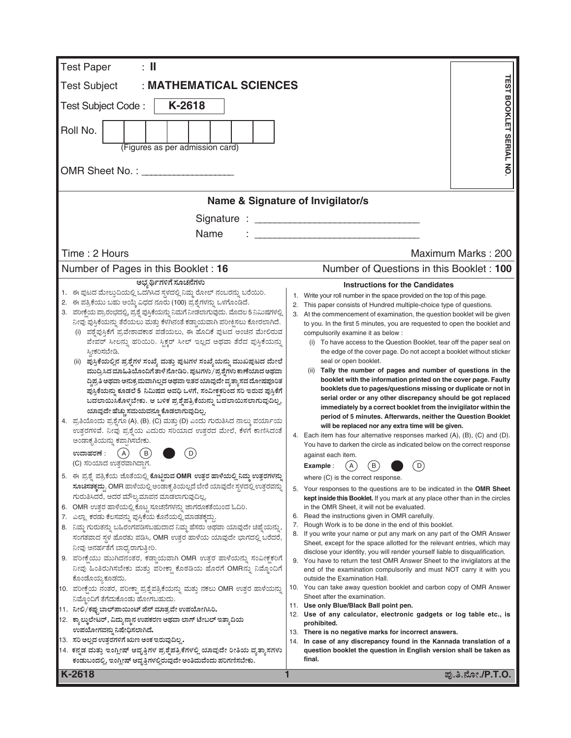| <b>Test Paper</b><br>$: \mathbb{I}$                                                                                                                                                                                                                                                                                                                                                                                                                                                                                                                                                                                                                                                                                                                                                                                                                                                                                                                                                                                                                                                                                                                                                                                                                                                                                                                                                                                                                                                                                                                                                                                                                                                                                                                                                                                                                                                                                                                                                                                                                   |                                                                                                                                                                                                                                                                                                                                                                                                                                                                                                                                                                                                                                                                                                                                                                                                                                                                                                                                                                                                                                                                                                                                                                                                                                                                                                                                                                                                                                                                                                                                                                                                                                                                                                                                                                                                                                                                                                                                                                                                                                                                                                                                                                                 |                                      |  |
|-------------------------------------------------------------------------------------------------------------------------------------------------------------------------------------------------------------------------------------------------------------------------------------------------------------------------------------------------------------------------------------------------------------------------------------------------------------------------------------------------------------------------------------------------------------------------------------------------------------------------------------------------------------------------------------------------------------------------------------------------------------------------------------------------------------------------------------------------------------------------------------------------------------------------------------------------------------------------------------------------------------------------------------------------------------------------------------------------------------------------------------------------------------------------------------------------------------------------------------------------------------------------------------------------------------------------------------------------------------------------------------------------------------------------------------------------------------------------------------------------------------------------------------------------------------------------------------------------------------------------------------------------------------------------------------------------------------------------------------------------------------------------------------------------------------------------------------------------------------------------------------------------------------------------------------------------------------------------------------------------------------------------------------------------------|---------------------------------------------------------------------------------------------------------------------------------------------------------------------------------------------------------------------------------------------------------------------------------------------------------------------------------------------------------------------------------------------------------------------------------------------------------------------------------------------------------------------------------------------------------------------------------------------------------------------------------------------------------------------------------------------------------------------------------------------------------------------------------------------------------------------------------------------------------------------------------------------------------------------------------------------------------------------------------------------------------------------------------------------------------------------------------------------------------------------------------------------------------------------------------------------------------------------------------------------------------------------------------------------------------------------------------------------------------------------------------------------------------------------------------------------------------------------------------------------------------------------------------------------------------------------------------------------------------------------------------------------------------------------------------------------------------------------------------------------------------------------------------------------------------------------------------------------------------------------------------------------------------------------------------------------------------------------------------------------------------------------------------------------------------------------------------------------------------------------------------------------------------------------------------|--------------------------------------|--|
| : MATHEMATICAL SCIENCES<br><b>Test Subject</b>                                                                                                                                                                                                                                                                                                                                                                                                                                                                                                                                                                                                                                                                                                                                                                                                                                                                                                                                                                                                                                                                                                                                                                                                                                                                                                                                                                                                                                                                                                                                                                                                                                                                                                                                                                                                                                                                                                                                                                                                        |                                                                                                                                                                                                                                                                                                                                                                                                                                                                                                                                                                                                                                                                                                                                                                                                                                                                                                                                                                                                                                                                                                                                                                                                                                                                                                                                                                                                                                                                                                                                                                                                                                                                                                                                                                                                                                                                                                                                                                                                                                                                                                                                                                                 |                                      |  |
| K-2618<br>Test Subject Code:                                                                                                                                                                                                                                                                                                                                                                                                                                                                                                                                                                                                                                                                                                                                                                                                                                                                                                                                                                                                                                                                                                                                                                                                                                                                                                                                                                                                                                                                                                                                                                                                                                                                                                                                                                                                                                                                                                                                                                                                                          |                                                                                                                                                                                                                                                                                                                                                                                                                                                                                                                                                                                                                                                                                                                                                                                                                                                                                                                                                                                                                                                                                                                                                                                                                                                                                                                                                                                                                                                                                                                                                                                                                                                                                                                                                                                                                                                                                                                                                                                                                                                                                                                                                                                 |                                      |  |
|                                                                                                                                                                                                                                                                                                                                                                                                                                                                                                                                                                                                                                                                                                                                                                                                                                                                                                                                                                                                                                                                                                                                                                                                                                                                                                                                                                                                                                                                                                                                                                                                                                                                                                                                                                                                                                                                                                                                                                                                                                                       |                                                                                                                                                                                                                                                                                                                                                                                                                                                                                                                                                                                                                                                                                                                                                                                                                                                                                                                                                                                                                                                                                                                                                                                                                                                                                                                                                                                                                                                                                                                                                                                                                                                                                                                                                                                                                                                                                                                                                                                                                                                                                                                                                                                 |                                      |  |
| Roll No.<br>(Figures as per admission card)                                                                                                                                                                                                                                                                                                                                                                                                                                                                                                                                                                                                                                                                                                                                                                                                                                                                                                                                                                                                                                                                                                                                                                                                                                                                                                                                                                                                                                                                                                                                                                                                                                                                                                                                                                                                                                                                                                                                                                                                           |                                                                                                                                                                                                                                                                                                                                                                                                                                                                                                                                                                                                                                                                                                                                                                                                                                                                                                                                                                                                                                                                                                                                                                                                                                                                                                                                                                                                                                                                                                                                                                                                                                                                                                                                                                                                                                                                                                                                                                                                                                                                                                                                                                                 | <b><i>TEST BOOKLET SERIAL NO</i></b> |  |
|                                                                                                                                                                                                                                                                                                                                                                                                                                                                                                                                                                                                                                                                                                                                                                                                                                                                                                                                                                                                                                                                                                                                                                                                                                                                                                                                                                                                                                                                                                                                                                                                                                                                                                                                                                                                                                                                                                                                                                                                                                                       |                                                                                                                                                                                                                                                                                                                                                                                                                                                                                                                                                                                                                                                                                                                                                                                                                                                                                                                                                                                                                                                                                                                                                                                                                                                                                                                                                                                                                                                                                                                                                                                                                                                                                                                                                                                                                                                                                                                                                                                                                                                                                                                                                                                 |                                      |  |
|                                                                                                                                                                                                                                                                                                                                                                                                                                                                                                                                                                                                                                                                                                                                                                                                                                                                                                                                                                                                                                                                                                                                                                                                                                                                                                                                                                                                                                                                                                                                                                                                                                                                                                                                                                                                                                                                                                                                                                                                                                                       | Name & Signature of Invigilator/s                                                                                                                                                                                                                                                                                                                                                                                                                                                                                                                                                                                                                                                                                                                                                                                                                                                                                                                                                                                                                                                                                                                                                                                                                                                                                                                                                                                                                                                                                                                                                                                                                                                                                                                                                                                                                                                                                                                                                                                                                                                                                                                                               |                                      |  |
|                                                                                                                                                                                                                                                                                                                                                                                                                                                                                                                                                                                                                                                                                                                                                                                                                                                                                                                                                                                                                                                                                                                                                                                                                                                                                                                                                                                                                                                                                                                                                                                                                                                                                                                                                                                                                                                                                                                                                                                                                                                       |                                                                                                                                                                                                                                                                                                                                                                                                                                                                                                                                                                                                                                                                                                                                                                                                                                                                                                                                                                                                                                                                                                                                                                                                                                                                                                                                                                                                                                                                                                                                                                                                                                                                                                                                                                                                                                                                                                                                                                                                                                                                                                                                                                                 |                                      |  |
| Name                                                                                                                                                                                                                                                                                                                                                                                                                                                                                                                                                                                                                                                                                                                                                                                                                                                                                                                                                                                                                                                                                                                                                                                                                                                                                                                                                                                                                                                                                                                                                                                                                                                                                                                                                                                                                                                                                                                                                                                                                                                  |                                                                                                                                                                                                                                                                                                                                                                                                                                                                                                                                                                                                                                                                                                                                                                                                                                                                                                                                                                                                                                                                                                                                                                                                                                                                                                                                                                                                                                                                                                                                                                                                                                                                                                                                                                                                                                                                                                                                                                                                                                                                                                                                                                                 |                                      |  |
| Time: 2 Hours                                                                                                                                                                                                                                                                                                                                                                                                                                                                                                                                                                                                                                                                                                                                                                                                                                                                                                                                                                                                                                                                                                                                                                                                                                                                                                                                                                                                                                                                                                                                                                                                                                                                                                                                                                                                                                                                                                                                                                                                                                         |                                                                                                                                                                                                                                                                                                                                                                                                                                                                                                                                                                                                                                                                                                                                                                                                                                                                                                                                                                                                                                                                                                                                                                                                                                                                                                                                                                                                                                                                                                                                                                                                                                                                                                                                                                                                                                                                                                                                                                                                                                                                                                                                                                                 | Maximum Marks: 200                   |  |
|                                                                                                                                                                                                                                                                                                                                                                                                                                                                                                                                                                                                                                                                                                                                                                                                                                                                                                                                                                                                                                                                                                                                                                                                                                                                                                                                                                                                                                                                                                                                                                                                                                                                                                                                                                                                                                                                                                                                                                                                                                                       | Number of Questions in this Booklet: 100                                                                                                                                                                                                                                                                                                                                                                                                                                                                                                                                                                                                                                                                                                                                                                                                                                                                                                                                                                                                                                                                                                                                                                                                                                                                                                                                                                                                                                                                                                                                                                                                                                                                                                                                                                                                                                                                                                                                                                                                                                                                                                                                        |                                      |  |
| Number of Pages in this Booklet: 16<br>ಅಭ್ಯರ್ಥಿಗಳಿಗೆ ಸೂಚನೆಗಳು                                                                                                                                                                                                                                                                                                                                                                                                                                                                                                                                                                                                                                                                                                                                                                                                                                                                                                                                                                                                                                                                                                                                                                                                                                                                                                                                                                                                                                                                                                                                                                                                                                                                                                                                                                                                                                                                                                                                                                                         | <b>Instructions for the Candidates</b>                                                                                                                                                                                                                                                                                                                                                                                                                                                                                                                                                                                                                                                                                                                                                                                                                                                                                                                                                                                                                                                                                                                                                                                                                                                                                                                                                                                                                                                                                                                                                                                                                                                                                                                                                                                                                                                                                                                                                                                                                                                                                                                                          |                                      |  |
| 1. ಈ ಪುಟದ ಮೇಲ್ತುದಿಯಲ್ಲಿ ಒದಗಿಸಿದ ಸ್ಥಳದಲ್ಲಿ ನಿಮ್ಮ ರೋಲ್ ನಂಬರನ್ನು ಬರೆಯಿರಿ.<br>2. ಈ ಪತ್ರಿಕೆಯು ಬಹು ಆಯ್ಕೆ ವಿಧದ ನೂರು (100) ಪ್ರಶ್ನೆಗಳನ್ನು ಒಳಗೊಂಡಿದೆ.<br>3. ಪರೀಕ್ಷೆಯ ಪ್ರಾರಂಭದಲ್ಲಿ, ಪ್ರಶ್ನೆ ಪುಸ್ತಿಕೆಯನ್ನು ನಿಮಗೆ ನೀಡಲಾಗುವುದು. ಮೊದಲ 5 ನಿಮಿಷಗಳಲ್ಲಿ<br>ನೀವು ಪುಸ್ತಿಕೆಯನ್ನು ತೆರೆಯಲು ಮತ್ತು ಕೆಳಗಿನಂತೆ ಕಡ್ಡಾಯವಾಗಿ ಪರೀಕ್ಷಿಸಲು ಕೋರಲಾಗಿದೆ.<br>(i) ಪಶ್ವೆಪುಸ್ತಿಕೆಗೆ ಪ್ರವೇಶಾವಕಾಶ ಪಡೆಯಲು, ಈ ಹೊದಿಕೆ ಪುಟದ ಅಂಚಿನ ಮೇಲಿರುವ<br>ಪೇಪರ್ ಸೀಲನ್ನು ಹರಿಯಿರಿ. ಸ್ಟಿಕ್ಕರ್ ಸೀಲ್ ಇಲ್ಲದ ಅಥವಾ ತೆರೆದ ಪುಸ್ತಿಕೆಯನ್ನು<br>ಸ್ನೀಕರಿಸಬೇಡಿ.<br>(ii) ಪುಸ್ತಿಕೆಯಲ್ಲಿನ ಪ್ರಶ್ನೆಗಳ ಸಂಖ್ಯೆ ಮತ್ತು ಪುಟಗಳ ಸಂಖ್ಯೆಯನ್ನು ಮುಖಪುಟದ ಮೇಲೆ<br>ಮುದ್ರಿಸಿದ ಮಾಹಿತಿಯೊಂದಿಗೆ ತಾಳೆ ನೋಡಿರಿ. ಪುಟಗಳು / ಪ್ರಶ್ನೆಗಳು ಕಾಣೆಯಾದ ಅಥವಾ<br>ದ್ಧಿಪ್ರತಿ ಅಥವಾ ಅನುಕ್ರಮವಾಗಿಲ್ಲದ ಅಥವಾ ಇತರ ಯಾವುದೇ ವ್ಯತ್ಯಾಸದ ದೋಷಪೂರಿತ<br>ಪುಸ್ತಿಕೆಯನ್ನು ಕೂಡಲೆ 5 ನಿಮಿಷದ ಅವಧಿ ಒಳಗೆ, ಸಂವೀಕ್ಷಕರಿಂದ ಸರಿ ಇರುವ ಪುಸ್ತಿಕೆಗೆ<br>ಬದಲಾಯಿಸಿಕೊಳ್ಳಬೇಕು. ಆ ಬಳಿಕ ಪ್ರಶ್ನೆಪತ್ರಿಕೆಯನ್ನು ಬದಲಾಯಿಸಲಾಗುವುದಿಲ್ಲ,<br>ಯಾವುದೇ ಹೆಚ್ಚು ಸಮಯವನ್ನೂ ಕೊಡಲಾಗುವುದಿಲ್ಲ.<br>4. ಪ್ರತಿಯೊಂದು ಪ್ರಶ್ನೆಗೂ (A), (B), (C) ಮತ್ತು (D) ಎಂದು ಗುರುತಿಸಿದ ನಾಲ್ಕು ಪರ್ಯಾಯ<br>ಉತ್ತರಗಳಿವೆ. ನೀವು ಪ್ರಶ್ನೆಯ ಎದುರು ಸರಿಯಾದ ಉತ್ತರದ ಮೇಲೆ, ಕೆಳಗೆ ಕಾಣಿಸಿದಂತೆ<br>ಅಂಡಾಕೃತಿಯನ್ನು ಕಪ್ಪಾಗಿಸಬೇಕು.<br>(A)<br>B<br>〔D〕<br>ಉದಾಹರಣೆ :<br>(C) ಸರಿಯಾದ ಉತ್ತರವಾಗಿದ್ದಾಗ.<br>5. ಈ ಪ್ರಶ್ನೆ ಪತ್ರಿಕೆಯ ಜೊತೆಯಲ್ಲಿ ಕೊಟ್ಟಿರುವ OMR ಉತ್ತರ ಹಾಳೆಯಲ್ಲಿ ನಿಮ್ಮ ಉತ್ತರಗಳನ್ನು<br><b>ಸೂಚಿಸತಕ್ಕದ್ದು. OMR</b> ಹಾಳೆಯಲ್ಲಿ ಅಂಡಾಕೃತಿಯಲ್ಲದೆ ಬೇರೆ ಯಾವುದೇ ಸ್ಥಳದಲ್ಲಿ ಉತ್ತರವನ್ನು<br>ಗುರುತಿಸಿದರೆ, ಅದರ ಮೌಲ್ಯಮಾಪನ ಮಾಡಲಾಗುವುದಿಲ್ಲ.<br>6. OMR ಉತ್ತರ ಹಾಳೆಯಲ್ಲಿ ಕೊಟ್ಟ ಸೂಚನೆಗಳನ್ನು ಜಾಗರೂಕತೆಯಿಂದ ಓದಿರಿ.<br>7. ಎಲ್ಲಾ ಕರಡು ಕೆಲಸವನ್ನು ಪುಸ್ತಿಕೆಯ ಕೊನೆಯಲ್ಲಿ ಮಾಡತಕ್ಕದ್ದು.<br>8. ನಿಮ್ಮ ಗುರುತನ್ನು ಬಹಿರಂಗಪಡಿಸಬಹುದಾದ ನಿಮ್ಮ ಹೆಸರು ಅಥವಾ ಯಾವುದೇ ಚಿಹ್ನೆಯನ್ನು,<br>ಸಂಗತವಾದ ಸ್ಥಳ ಹೊರತು ಪಡಿಸಿ, OMR ಉತ್ತರ ಹಾಳೆಯ ಯಾವುದೇ ಭಾಗದಲ್ಲಿ ಬರೆದರೆ,<br>ನೀವು ಅನರ್ಹತೆಗೆ ಬಾಧ್ಯರಾಗುತ್ತೀರಿ.<br>9. ಪರೀಕ್ಷೆಯು ಮುಗಿದನಂತರ, ಕಡ್ಡಾಯವಾಗಿ OMR ಉತ್ತರ ಹಾಳೆಯನ್ನು ಸಂವೀಕ್ಷಕರಿಗೆ<br>ನೀವು ಹಿಂತಿರುಗಿಸಬೇಕು ಮತ್ತು ಪರೀಕ್ಷಾ ಕೊಠಡಿಯ ಹೊರಗೆ OMRನ್ನು ನಿಮ್ಮೊಂದಿಗೆ<br>ಕೊಂಡೊಯ್ಯಕೂಡದು.<br>10.  ಪರೀಕ್ಷೆಯ ನಂತರ, ಪರೀಕ್ಷಾ ಪ್ರಶ್ನೆಪತ್ರಿಕೆಯನ್ನು ಮತ್ತು ನಕಲು OMR ಉತ್ತರ ಹಾಳೆಯನ್ನು<br>ನಿಮ್ಗೊಂದಿಗೆ ತೆಗೆದುಕೊಂಡು ಹೋಗಬಹುದು.<br>11.   ನೀಲಿ/ಕಪ್ಪು ಬಾಲ್ಪಾಯಿಂಟ್ ಪೆನ್ ಮಾತ್ರವೇ ಉಪಯೋಗಿಸಿರಿ. | Write your roll number in the space provided on the top of this page.<br>1.<br>2. This paper consists of Hundred multiple-choice type of questions.<br>3. At the commencement of examination, the question booklet will be given<br>to you. In the first 5 minutes, you are requested to open the booklet and<br>compulsorily examine it as below :<br>(i) To have access to the Question Booklet, tear off the paper seal on<br>the edge of the cover page. Do not accept a booklet without sticker<br>seal or open booklet.<br>(ii) Tally the number of pages and number of questions in the<br>booklet with the information printed on the cover page. Faulty<br>booklets due to pages/questions missing or duplicate or not in<br>serial order or any other discrepancy should be got replaced<br>immediately by a correct booklet from the invigilator within the<br>period of 5 minutes. Afterwards, neither the Question Booklet<br>will be replaced nor any extra time will be given.<br>Each item has four alternative responses marked (A), (B), (C) and (D).<br>4.<br>You have to darken the circle as indicated below on the correct response<br>against each item.<br>(B)<br>$\mathsf{A}$<br>D<br>Example:<br>where (C) is the correct response.<br>5. Your responses to the questions are to be indicated in the <b>OMR Sheet</b><br>kept inside this Booklet. If you mark at any place other than in the circles<br>in the OMR Sheet, it will not be evaluated.<br>6. Read the instructions given in OMR carefully.<br>Rough Work is to be done in the end of this booklet.<br>7.<br>8. If you write your name or put any mark on any part of the OMR Answer<br>Sheet, except for the space allotted for the relevant entries, which may<br>disclose your identity, you will render yourself liable to disqualification.<br>9. You have to return the test OMR Answer Sheet to the invigilators at the<br>end of the examination compulsorily and must NOT carry it with you<br>outside the Examination Hall.<br>10. You can take away question booklet and carbon copy of OMR Answer<br>Sheet after the examination.<br>11. Use only Blue/Black Ball point pen. |                                      |  |
| 12. ಕ್ಯಾಲ್ಕುಲೇಟರ್, ವಿದ್ಯುನ್ಮಾನ ಉಪಕರಣ ಅಥವಾ ಲಾಗ್ ಟೇಬಲ್ ಇತ್ತಾದಿಯ<br>ಉಪಯೋಗವನ್ನು ನಿಷೇಧಿಸಲಾಗಿದೆ.<br>13. ಸರಿ ಅಲ್ಲದ ಉತ್ತರಗಳಿಗೆ ಋಣ ಅಂಕ ಇರುವುದಿಲ್ಲ.<br>14. ಕನ್ನಡ ಮತ್ತು ಇಂಗ್ಲೀಷ್ ಆವೃತ್ತಿಗಳ ಪ್ರಶ್ನೆಪತ್ರಿಕೆಗಳಲ್ಲಿ ಯಾವುದೇ ರೀತಿಯ ವ್ಯತ್ಯಾಸಗಳು                                                                                                                                                                                                                                                                                                                                                                                                                                                                                                                                                                                                                                                                                                                                                                                                                                                                                                                                                                                                                                                                                                                                                                                                                                                                                                                                                                                                                                                                                                                                                                                                                                                                                                                                                                                                                         | 12. Use of any calculator, electronic gadgets or log table etc., is<br>prohibited.<br>13. There is no negative marks for incorrect answers.<br>In case of any discrepancy found in the Kannada translation of a<br>14.<br>question booklet the question in English version shall be taken as<br>final.                                                                                                                                                                                                                                                                                                                                                                                                                                                                                                                                                                                                                                                                                                                                                                                                                                                                                                                                                                                                                                                                                                                                                                                                                                                                                                                                                                                                                                                                                                                                                                                                                                                                                                                                                                                                                                                                          |                                      |  |
| ಕಂಡುಬಂದಲ್ಲಿ, ಇಂಗ್ಲೀಷ್ ಆವೃತ್ತಿಗಳಲ್ಲಿರುವುದೇ ಅಂತಿಮವೆಂದು ಪರಿಗಣಿಸಬೇಕು.<br>K-2618                                                                                                                                                                                                                                                                                                                                                                                                                                                                                                                                                                                                                                                                                                                                                                                                                                                                                                                                                                                                                                                                                                                                                                                                                                                                                                                                                                                                                                                                                                                                                                                                                                                                                                                                                                                                                                                                                                                                                                           |                                                                                                                                                                                                                                                                                                                                                                                                                                                                                                                                                                                                                                                                                                                                                                                                                                                                                                                                                                                                                                                                                                                                                                                                                                                                                                                                                                                                                                                                                                                                                                                                                                                                                                                                                                                                                                                                                                                                                                                                                                                                                                                                                                                 | ಪು.ತಿ.ನೋ./P.T.O.                     |  |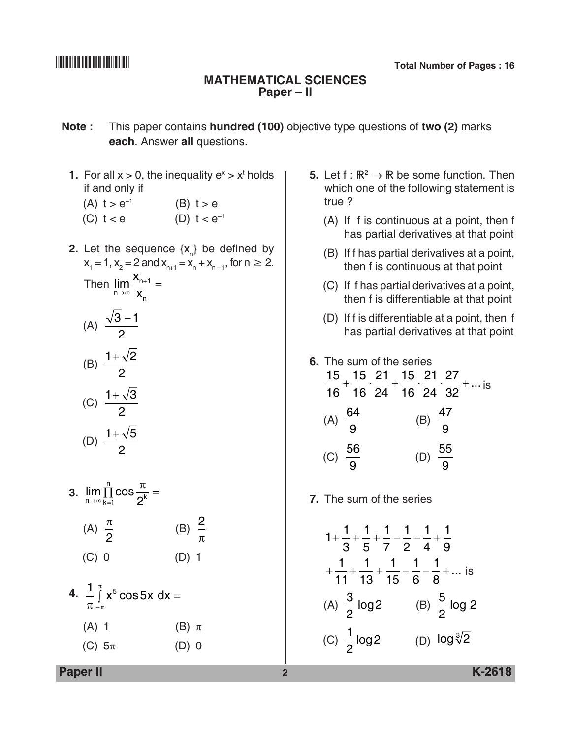### **Mathematical Sciences Paper – II**

- **Note :** This paper contains **hundred (100)** objective type questions of **two (2)** marks **each**. Answer **all** questions.
	- **1.** For all  $x > 0$ , the inequality  $e^x > x^t$  holds if and only if
		- (A)  $t > e^{-1}$  (B)  $t > e$
		- (C)  $t < e$  (D)  $t < e^{-1}$
	- **2.** Let the sequence  $\{x_{n}\}$  be defined by  $x_1 = 1$ ,  $x_2 = 2$  and  $x_{n+1} = x_n + x_{n-1}$ , for  $n \ge 2$ . Then  $\lim_{n\to\infty}\frac{\lambda_n}{n}$ n x →∞ x  $\frac{+1}{-}$  =

(A) 
$$
\frac{\sqrt{3}-1}{2}
$$
  
\n(B)  $\frac{1+\sqrt{2}}{2}$   
\n(C)  $\frac{1+\sqrt{3}}{2}$   
\n(D)  $\frac{1+\sqrt{5}}{2}$ 

- **3.**  $\lim_{n\to\infty} \prod_{k=1} \cos \frac{n}{2^k}$ n  $\lim_{n \to \infty} \prod_{k=1}^{n} \cos \frac{\pi}{2^{k}} =$  $\frac{1}{1}$  2 (A)  $\frac{\pi}{2}$  (B)  $\frac{2}{\pi}$ (B)  $\frac{2}{\pi}$ (C) 0 (D) 1
- **4.**  $\stackrel{1}{\textbf{-}}\!\!\int\limits_0^{\pi}\mathsf{x}^5\cos5$  $\pi$   $_{-\pi}$  $\int\limits_{-\pi}^{\pi} x^5 \cos 5x \, dx =$ (A) 1 (B)  $\pi$ (C)  $5\pi$  (D) 0
- **5.** Let  $f : \mathbb{R}^2 \to \mathbb{R}$  be some function. Then which one of the following statement is true ?
	- (A) If f is continuous at a point, then f has partial derivatives at that point
	- (B) If f has partial derivatives at a point, then f is continuous at that point
	- (C) If f has partial derivatives at a point, then f is differentiable at that point
	- (D) If f is differentiable at a point, then f has partial derivatives at that point

|                    | 6. The sum of the series<br>15  15  21  15  21  27 |  |                    |                                                                                                                        |
|--------------------|----------------------------------------------------|--|--------------------|------------------------------------------------------------------------------------------------------------------------|
|                    |                                                    |  |                    | $\frac{16}{16} + \frac{16}{16} \cdot \frac{11}{24} + \frac{11}{16} \cdot \frac{11}{24} \cdot \frac{11}{32} + \dots$ is |
| (A) $\frac{64}{9}$ |                                                    |  | (B) $\frac{47}{9}$ |                                                                                                                        |
| (C) $\frac{56}{9}$ |                                                    |  | (D) $\frac{55}{9}$ |                                                                                                                        |

**7.** The sum of the series

$$
1 + \frac{1}{3} + \frac{1}{5} + \frac{1}{7} - \frac{1}{2} - \frac{1}{4} + \frac{1}{9}
$$
  
+ 
$$
\frac{1}{11} + \frac{1}{13} + \frac{1}{15} - \frac{1}{6} - \frac{1}{8} + \dots
$$
 is  
(A)  $\frac{3}{2} \log 2$  (B)  $\frac{5}{2} \log 2$   
(C)  $\frac{1}{2} \log 2$  (D)  $\log \sqrt[3]{2}$ 

**Paper II 2 K-2618**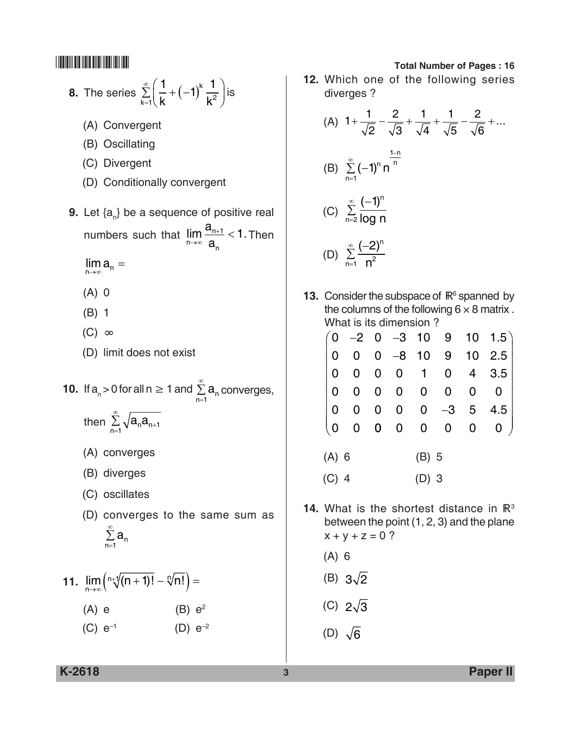**8.** The series 
$$
\sum_{k=1}^{\infty} \left( \frac{1}{k} + (-1)^k \frac{1}{k^2} \right)
$$
 is

- (A) Convergent
- (B) Oscillating
- (C) Divergent
- (D) Conditionally convergent
- **9.** Let {a<sub>n</sub>} be a sequence of positive real numbers such that  $\lim_{n\to\infty} \frac{a_{n+1}}{a} < 1$ . n n a →∞ a  $\frac{+1}{-}$  < 1. Then
	- $\lim_{n\to\infty} a_n =$
	- (A) 0
	- (B) 1
	- $(C)$  ∞
	- (D) limit does not exist
- **10.** If  $a_n > 0$  for all  $n \ge 1$  and  $\sum_{n=1}^{\infty} a_n$ , a<sub>n</sub> converges,<br>1
	- then  $\sum_{n=1}^{\infty} \sqrt{a_n a_{n+1}}$
	- (A) converges
	- (B) diverges
	- (C) oscillates
	- (D) converges to the same sum as  $\sum_{n=1}^{\infty} a_n$ 1

11. 
$$
\lim_{n \to \infty} \left( \sqrt[n+1]{(n+1)!} - \sqrt[n]{n!} \right) =
$$
  
(A) e \t(B) e<sup>2</sup>  
(C) e<sup>-1</sup> \t(D) e<sup>-2</sup>

**12.** Which one of the following series diverges ?

(A) 
$$
1 + \frac{1}{\sqrt{2}} - \frac{2}{\sqrt{3}} + \frac{1}{\sqrt{4}} + \frac{1}{\sqrt{5}} - \frac{2}{\sqrt{6}} + \dots
$$
  
\n(B)  $\sum_{n=1}^{\infty} (-1)^n n^{-n}$   
\n(C)  $\sum_{n=2}^{\infty} \frac{(-1)^n}{\log n}$   
\n(D)  $\sum_{n=1}^{\infty} \frac{(-2)^n}{n^2}$ 

**13.** Consider the subspace of  $\mathbb{R}^6$  spanned by the columns of the following  $6 \times 8$  matrix. What is its dimension ?

|         |         |  |         |  | $\begin{pmatrix} 0 & -2 & 0 & -3 & 10 & 9 & 10 & 1.5 \ 0 & 0 & 0 & -8 & 10 & 9 & 10 & 2.5 \end{pmatrix}$                                                                                                                                                                                                                                                                                                                         |
|---------|---------|--|---------|--|----------------------------------------------------------------------------------------------------------------------------------------------------------------------------------------------------------------------------------------------------------------------------------------------------------------------------------------------------------------------------------------------------------------------------------|
|         |         |  |         |  |                                                                                                                                                                                                                                                                                                                                                                                                                                  |
|         |         |  |         |  | $\begin{array}{ ccc } \hline \multicolumn{3}{ c }{0} & \multicolumn{3}{ c }{0} & \multicolumn{3}{ c }{0} & \multicolumn{3}{ c }{0} & \multicolumn{3}{ c }{0} & \multicolumn{3}{ c }{0} & \multicolumn{3}{ c }{0} & \multicolumn{3}{ c }{0} & \multicolumn{3}{ c }{0} & \multicolumn{3}{ c }{0} & \multicolumn{3}{ c }{0} & \multicolumn{3}{ c }{0} & \multicolumn{3}{ c }{0} & \multicolumn{3}{ c }{0} & \multicolumn{3}{ c }{0$ |
|         |         |  |         |  | $\begin{pmatrix} 0 & 0 & 0 & 0 & 0 & -3 & 5 & 4.5 \\ 0 & 0 & 0 & 0 & 0 & 0 & 0 & 0 \end{pmatrix}$                                                                                                                                                                                                                                                                                                                                |
|         |         |  |         |  |                                                                                                                                                                                                                                                                                                                                                                                                                                  |
| $(A)$ 6 |         |  | $(B)$ 5 |  |                                                                                                                                                                                                                                                                                                                                                                                                                                  |
| $(C)$ 4 | $(D)$ 3 |  |         |  |                                                                                                                                                                                                                                                                                                                                                                                                                                  |

- **14.** What is the shortest distance in  $\mathbb{R}^3$ between the point (1, 2, 3) and the plane  $x + y + z = 0$ ?
	- (A) 6
	- (B)  $3\sqrt{2}$
	- (C)  $2\sqrt{3}$
	- (D)  $\sqrt{6}$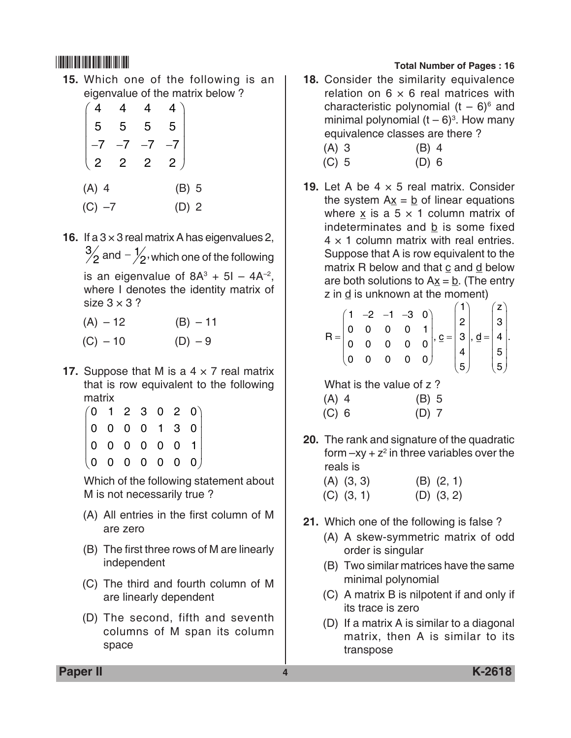**15.** Which one of the following is an eigenvalue of the matrix below?

|                       |                |              | 4              |   |
|-----------------------|----------------|--------------|----------------|---|
| 5                     | 5              | 5            | 5              |   |
|                       |                |              |                |   |
| $\overline{c}$        | $\overline{c}$ | $\mathbf{2}$ | $\overline{2}$ |   |
| (A)<br>$\overline{4}$ |                |              | (B)            | 5 |
| (C)<br>-7             |                |              | (D)            | 2 |

**16.** If a  $3 \times 3$  real matrix A has eigenvalues 2,  $\frac{3}{2}$  and  $-\frac{1}{2}$ , which one of the following is an eigenvalue of  $8A^3 + 5I - 4A^{-2}$ , where I denotes the identity matrix of size  $3 \times 3$  ?

| $(A) - 12$ | $(B) - 11$ |
|------------|------------|

- $(C) 10$  (D) 9
- **17.** Suppose that M is a  $4 \times 7$  real matrix that is row equivalent to the following matrix

|  |  |  | $\begin{pmatrix} 0 & 1 & 2 & 3 & 0 & 2 & 0 \ 0 & 0 & 0 & 0 & 1 & 3 & 0 \ 0 & 0 & 0 & 0 & 0 & 0 & 1 \ 0 & 0 & 0 & 0 & 0 & 0 & 0 \end{pmatrix}$ |
|--|--|--|-----------------------------------------------------------------------------------------------------------------------------------------------|
|  |  |  |                                                                                                                                               |
|  |  |  |                                                                                                                                               |

 Which of the following statement about M is not necessarily true ?

- (A) All entries in the first column of M are zero
- (B) The first three rows of M are linearly independent
- (C) The third and fourth column of M are linearly dependent
- (D) The second, fifth and seventh columns of M span its column space

# \*K2618\* **Total Number of Pages : 16**

**18.** Consider the similarity equivalence relation on  $6 \times 6$  real matrices with characteristic polynomial  $(t-6)^6$  and minimal polynomial  $(t-6)^3$ . How many equivalence classes are there ?

| $(A)$ 3 | $(B)$ 4 |
|---------|---------|
| $(C)$ 5 | $(D)$ 6 |

**19.** Let A be  $4 \times 5$  real matrix. Consider the system  $Ax = b$  of linear equations where x is a  $5 \times 1$  column matrix of indeterminates and b is some fixed  $4 \times 1$  column matrix with real entries. Suppose that A is row equivalent to the matrix R below and that c and d below are both solutions to  $A\underline{x} = \underline{b}$ . (The entry  $\overline{z}$  in  $\underline{d}$  is unknown at the moment)

$$
R = \begin{pmatrix} 1 & -2 & -1 & -3 & 0 \\ 0 & 0 & 0 & 0 & 1 \\ 0 & 0 & 0 & 0 & 0 \\ 0 & 0 & 0 & 0 & 0 \end{pmatrix}, e = \begin{pmatrix} 1 \\ 2 \\ 3 \\ 4 \\ 4 \end{pmatrix}, d = \begin{pmatrix} z \\ 3 \\ 4 \\ 5 \end{pmatrix}.
$$
  
What is the value of z?  
(A) 4 (B) 5

(C) 6 (D) 7

**20.** The rank and signature of the quadratic form  $-xy + z^2$  in three variables over the reals is

| $(A)$ $(3, 3)$ | $(B)$ $(2, 1)$ |
|----------------|----------------|
| $(C)$ $(3, 1)$ | $(D)$ $(3, 2)$ |

- **21.** Which one of the following is false ?
	- (A) A skew-symmetric matrix of odd order is singular
	- (B) Two similar matrices have the same minimal polynomial
	- (C) A matrix B is nilpotent if and only if its trace is zero
	- (D) If a matrix A is similar to a diagonal matrix, then A is similar to its transpose

**Paper II 4 K-2618**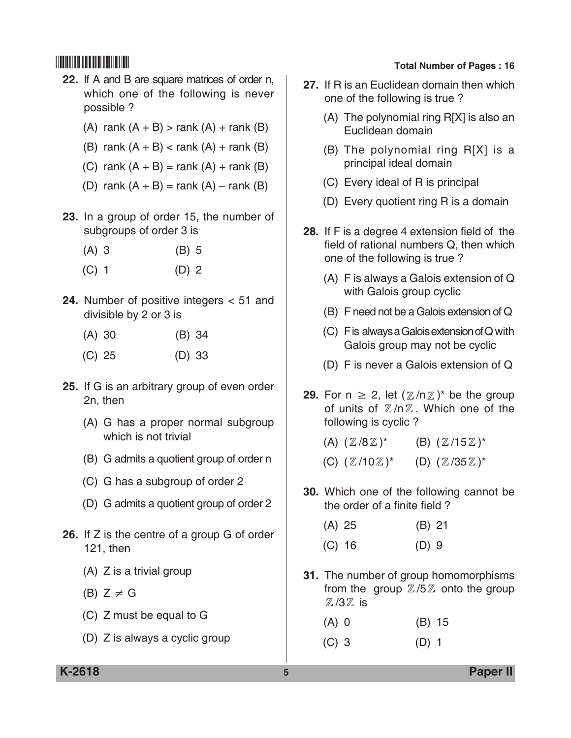- **22.** If A and B are square matrices of order n, which one of the following is never possible ?
	- (A) rank  $(A + B)$  > rank  $(A)$  + rank  $(B)$
	- (B) rank  $(A + B) <$  rank  $(A) +$  rank  $(B)$
	- (C) rank  $(A + B) =$ rank  $(A) +$ rank  $(B)$
	- (D) rank  $(A + B) =$ rank  $(A) -$ rank  $(B)$
- **23.** In a group of order 15, the number of subgroups of order 3 is
	- (A) 3 (B) 5
	- $(C)$  1 (D) 2
- **24.** Number of positive integers < 51 and divisible by 2 or 3 is
	- (A) 30 (B) 34
	- (C) 25 (D) 33
- **25.** If G is an arbitrary group of even order 2n, then
	- (A) G has a proper normal subgroup which is not trivial
	- (B) G admits a quotient group of order n
	- (C) G has a subgroup of order 2
	- (D) G admits a quotient group of order 2
- **26.** If Z is the centre of a group G of order 121, then
	- (A) Z is a trivial group
	- (B)  $Z \neq G$
	- (C) Z must be equal to G
	- (D) Z is always a cyclic group

- **27.** If R is an Euclidean domain then which one of the following is true ?
	- (A) The polynomial ring R[X] is also an Euclidean domain
	- (B) The polynomial ring R[X] is a principal ideal domain
	- (C) Every ideal of R is principal
	- (D) Every quotient ring R is a domain
- **28.** If F is a degree 4 extension field of the field of rational numbers Q, then which one of the following is true ?
	- (A) F is always a Galois extension of Q with Galois group cyclic
	- (B) F need not be a Galois extension of Q
	- (C) F is always a Galois extension of Q with Galois group may not be cyclic
	- (D) F is never a Galois extension of Q
- **29.** For  $n \ge 2$ , let  $(\mathbb{Z}/n\mathbb{Z})^*$  be the group of units of  $\mathbb{Z}/n\mathbb{Z}$ . Which one of the following is cyclic ?
	- $(A)$   $(\mathbb{Z}/8\mathbb{Z})^*$  (B)  $(\mathbb{Z}/15\mathbb{Z})^*$
	- (C)  $(\mathbb{Z}/10\mathbb{Z})^*$  (D)  $(\mathbb{Z}/35\mathbb{Z})^*$
- **30.** Which one of the following cannot be the order of a finite field ?

| $(A)$ 25 | $(B)$ 21 |
|----------|----------|
| $(C)$ 16 | $(D)$ 9  |

**31.** The number of group homomorphisms from the group  $\mathbb{Z}/5\mathbb{Z}$  onto the group  $\mathbb{Z}/3 \mathbb{Z}$  is

| $(A)$ 0 | $(B)$ 15 |
|---------|----------|
|         |          |

(C) 3 (D) 1

**K-2618 5 Paper II**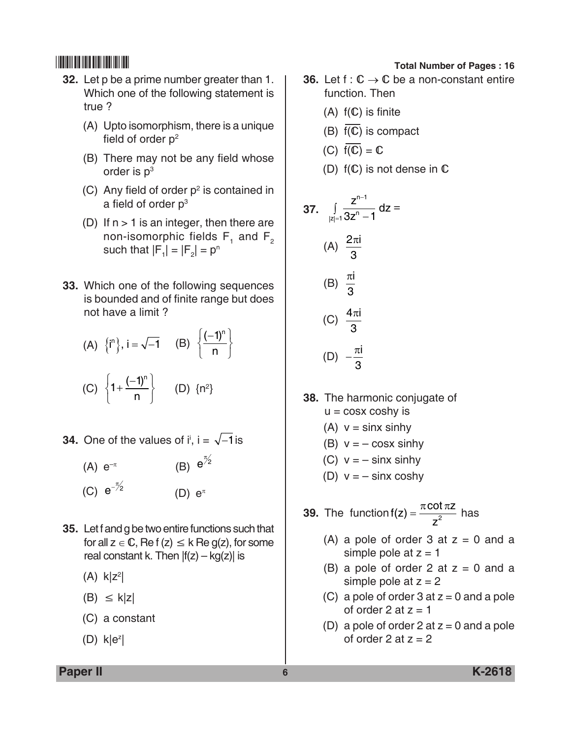- **32.** Let p be a prime number greater than 1. Which one of the following statement is true ?
	- (A) Upto isomorphism, there is a unique field of order  $p^2$
	- (B) There may not be any field whose order is  $p<sup>3</sup>$
	- (C) Any field of order  $p^2$  is contained in a field of order p<sup>3</sup>
	- (D) If  $n > 1$  is an integer, then there are non-isomorphic fields  $F_1$  and  $F_2$ such that  $|F_1| = |F_2| = p^n$
- **33.** Which one of the following sequences is bounded and of finite range but does not have a limit ?

(A) 
$$
\{i^n\}
$$
,  $i = \sqrt{-1}$  (B)  $\{\frac{(-1)^n}{n}\}$ 

$$
(C) \left\{1+\frac{(-1)^n}{n}\right\} \qquad (D) \ \{n^2\}
$$

- **34.** One of the values of i<sup>i</sup>, i =  $\sqrt{-1}$  is
	- (A)  $e^{-\pi}$  $\frac{\pi}{2}$ (C)  $e^{-\frac{\pi}{2}}$ (D)  $e^{\pi}$
- **35.** Let f and g be two entire functions such that for all  $z \in \mathbb{C}$ , Re f (z)  $\leq k$  Re g(z), for some real constant k. Then  $|f(z) - kg(z)|$  is
	- $(A)$  k|z<sup>2</sup>|
	- $(B) \leq k|z|$
	- (C) a constant
	- $(D)$  k|e<sup>z</sup>|

- **36.** Let  $f: \mathbb{C} \to \mathbb{C}$  be a non-constant entire function. Then
	- $(A)$   $f(\mathbb{C})$  is finite
	- (B)  $\overline{f(C)}$  is compact
	- (C)  $\overline{f(C)} = C$
	- (D)  $f(\mathbb{C})$  is not dense in  $\mathbb C$

37. 
$$
\int_{|z|=1} \frac{z^{n-1}}{3z^n - 1} dz =
$$
\n(A)  $\frac{2\pi i}{3}$   
\n(B)  $\frac{\pi i}{3}$   
\n(C)  $\frac{4\pi i}{3}$   
\n(D)  $-\frac{\pi i}{3}$ 

- **38.** The harmonic conjugate of  $u = \cos x \cosh y$  is
	- (A)  $v = \sin x \sinh y$
	- (B)  $v = -\cos x \sinh y$
	- (C)  $v = -\sin x \sinh y$
	- (D)  $v = -\sin x \cosh y$
- **39.** The function  $f(z) = \frac{\pi \cot \pi z}{z}$ z  $(z) = \frac{\pi \cot \pi z}{z^2}$  has
	- (A) a pole of order  $3$  at  $z = 0$  and a simple pole at  $z = 1$
	- (B) a pole of order 2 at  $z = 0$  and a simple pole at  $z = 2$
	- (C) a pole of order  $3$  at  $z = 0$  and a pole of order 2 at  $z = 1$
	- (D) a pole of order  $2$  at  $z = 0$  and a pole of order 2 at  $z = 2$

**Paper II 6 K-2618**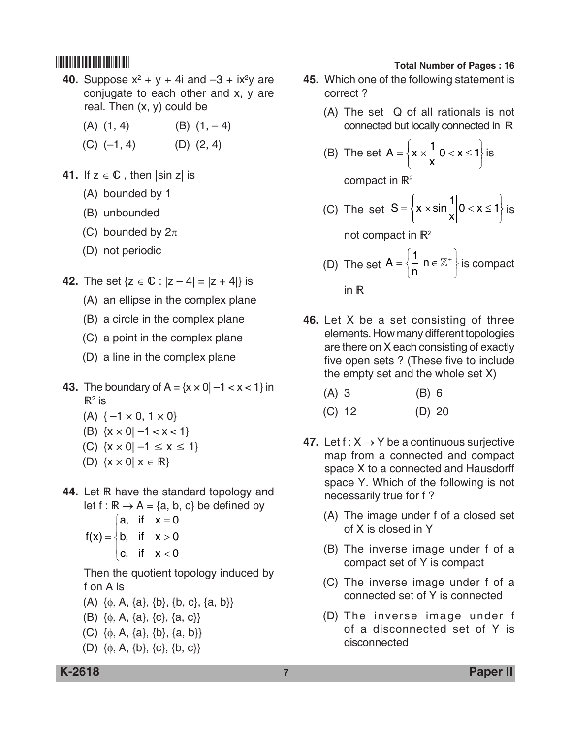- **40.** Suppose  $x^2 + y + 4i$  and  $-3 + ix^2y$  are conjugate to each other and x, y are real. Then  $(x, y)$  could be
	- $(A)$   $(1, 4)$   $(B)$   $(1, -4)$
	- $(C)$  (-1, 4)  $(D)$  (2, 4)
- **41.** If  $z \in \mathbb{C}$ , then  $|\sin z|$  is
	- (A) bounded by 1
	- (B) unbounded
	- (C) bounded by  $2\pi$
	- (D) not periodic
- **42.** The set  $\{z \in \mathbb{C} : |z 4| = |z + 4|\}$  is
	- (A) an ellipse in the complex plane
	- (B) a circle in the complex plane
	- (C) a point in the complex plane
	- (D) a line in the complex plane
- **43.** The boundary of  $A = \{x \times 0 | -1 < x < 1\}$  in  $\mathbb{R}^2$  is
	- $(A) \{-1 \times 0, 1 \times 0\}$
	- (B)  $\{x \times 0\} -1 < x < 1\}$
	- (C)  $\{x \times 0\} -1 \le x \le 1\}$
	- (D)  $\{x \times 0 | x \in \mathbb{R}\}\$
- **44.** Let **R** have the standard topology and let f :  $\mathbb{R} \to \mathsf{A} = \{a, b, c\}$  be defined by  $\int a$ , if  $x = 0$ 
	- $f(x) = \begin{cases} b, & \text{if } x > \end{cases}$  $\begin{cases} c, & \text{if } x < 0 \end{cases}$  $\begin{cases} 0, & \text{if } x > 0 \end{cases}$

 Then the quotient topology induced by f on A is

- (A)  $\{\phi, A, \{a\}, \{b\}, \{b, c\}, \{a, b\}\}\$
- (B)  $\{\phi, A, \{a\}, \{c\}, \{a, c\}\}\$
- (C)  $\{\phi, A, \{a\}, \{b\}, \{a, b\}\}\$
- (D) {φ, A, {b}, {c}, {b, c}}

# \*K2618\* **Total Number of Pages : 16**

- **45.** Which one of the following statement is correct ?
	- (A) The set Q of all rationals is not connected but locally connected in
	- (B) The set  $A = \{x$ x  $=\left\{ x\right. \times \left. \frac{1}{x} \right| 0 < x \leq$ ⇃  $\overline{\mathcal{L}}$  $\overline{\phantom{a}}$  $\left\{ \right\}$  $\int$  $\begin{array}{c} 1 \ -1 \end{array}$  is

compact in  $\mathbb{R}^2$ 

(C) The set  $S = \left\{ x \times \sin \frac{1}{x} \right\}$  $=\begin{cases} x \times \sin^{-1} 0 < x \leq 1 \end{cases}$ ⇃  $\overline{\mathcal{L}}$  $\mathbf{I}$  $\left\{ \right\}$ J  $\sin\frac{1}{x}\Big|0 < x \leq 1\Big|$  is

not compact in  $\mathbb{R}^2$ 

- (D) The set  $A = \begin{cases} \frac{1}{n} \end{cases}$  $=\left\{\frac{1}{n}\right|n \in \mathbb{Z}$ ⇃  $\overline{\mathcal{L}}$  $\mathbf{I}$  $\left\{ \right\}$ J  $\frac{1}{n}\left| n \in \mathbb{Z}^+ \right|$  is compact in  $R$
- **46.** Let X be a set consisting of three elements. How many different topologies are there on X each consisting of exactly five open sets ? (These five to include the empty set and the whole set X)

| (B) 6 |
|-------|
|       |

- (C) 12 (D) 20
- **47.** Let  $f: X \rightarrow Y$  be a continuous surjective map from a connected and compact space X to a connected and Hausdorff space Y. Which of the following is not necessarily true for f ?
	- (A) The image under f of a closed set of X is closed in Y
	- (B) The inverse image under f of a compact set of Y is compact
	- (C) The inverse image under f of a connected set of Y is connected
	- (D) The inverse image under f of a disconnected set of Y is disconnected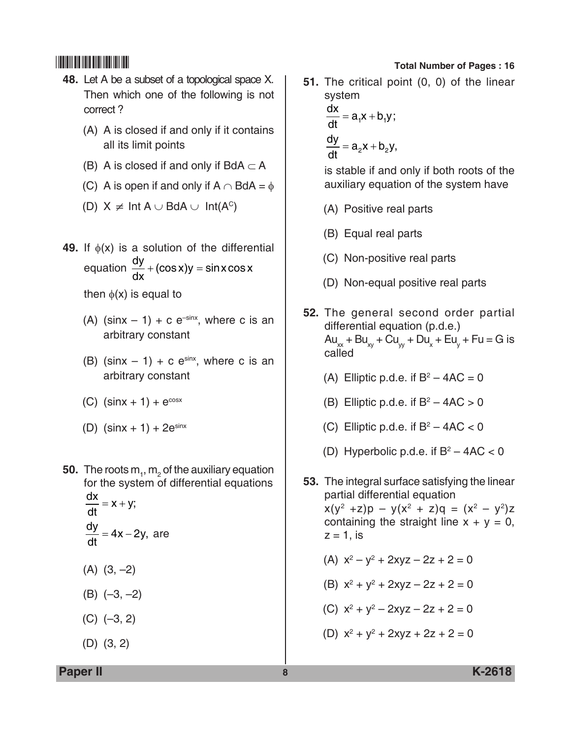- **48.** Let A be a subset of a topological space X. Then which one of the following is not correct ?
	- (A) A is closed if and only if it contains all its limit points
	- (B) A is closed if and only if BdA  $\subset$  A
	- (C) A is open if and only if  $A \cap BdA = \phi$
	- (D)  $X \neq Int A \cup BdA \cup Int(A^c)$
- **49.** If φ(x) is a solution of the differential equation  $\frac{dy}{dx}$ dx  $+$  (cos x)y  $=$  sin x cos x

then  $\phi(x)$  is equal to

- (A) (sinx  $-1$ ) + c e<sup>-sinx</sup>, where c is an arbitrary constant
- (B) (sinx  $-1$ ) + c e<sup>sinx</sup>, where c is an arbitrary constant
- (C)  $(sinx + 1) + e^{cos x}$
- (D)  $(sinx + 1) + 2e^{sinx}$
- **50.** The roots  $m_{1}$ ,  $m_{2}$  of the auxiliary equation for the system of differential equations  $\frac{dx}{dt} = x + y;$  $\frac{dy}{dt}$  = 4x – 2y, are
	- $(A)$   $(3, -2)$
	- (B) (–3, –2)
	- (C) (–3, 2)
	- (D) (3, 2)

# \*K2618\* **Total Number of Pages : 16**

**51.** The critical point (0, 0) of the linear system

$$
\frac{dx}{dt} = a_1x + b_1y;
$$
  

$$
\frac{dy}{dt} = a_2x + b_2y,
$$

 is stable if and only if both roots of the auxiliary equation of the system have

- (A) Positive real parts
- (B) Equal real parts
- (C) Non-positive real parts
- (D) Non-equal positive real parts
- **52.** The general second order partial differential equation (p.d.e.)  $Au_{xx} + Bu_{xy} + Cu_{yy} + Du_x + Eu_y + Fu = G$  is called
	- (A) Elliptic p.d.e. if  $B^2 4AC = 0$
	- (B) Elliptic p.d.e. if  $B^2 4AC > 0$
	- (C) Elliptic p.d.e. if  $B^2 4AC < 0$
	- (D) Hyperbolic p.d.e. if  $B^2 4AC < 0$
- **53.** The integral surface satisfying the linear partial differential equation  $x(y^2 + z)p - y(x^2 + z)q = (x^2 - y^2)z$ containing the straight line  $x + y = 0$ ,  $z = 1$ , is
	- (A)  $x^2 y^2 + 2xyz 2z + 2 = 0$
	- (B)  $x^2 + y^2 + 2xyz 2z + 2 = 0$
	- (C)  $x^2 + y^2 2xyz 2z + 2 = 0$
	- (D)  $x^2 + y^2 + 2xyz + 2z + 2 = 0$

**Paper II 8 K-2618**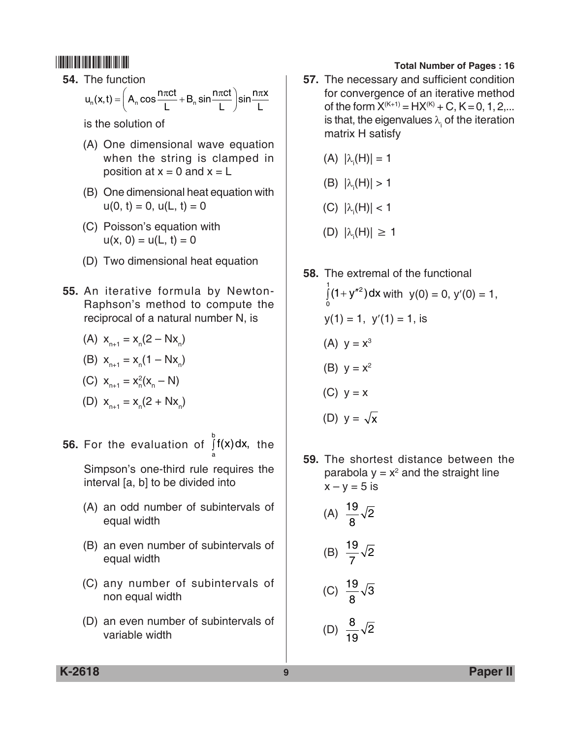**54.** The function

$$
u_n(x,t) = \left(A_n \cos \frac{n\pi ct}{L} + B_n \sin \frac{n\pi ct}{L}\right) \sin \frac{n\pi x}{L}
$$

is the solution of

- (A) One dimensional wave equation when the string is clamped in position at  $x = 0$  and  $x = L$
- (B) One dimensional heat equation with  $u(0, t) = 0$ ,  $u(L, t) = 0$
- (C) Poisson's equation with  $u(x, 0) = u(L, t) = 0$
- (D) Two dimensional heat equation
- **55.** An iterative formula by Newton-Raphson's method to compute the reciprocal of a natural number N, is
	- (A)  $x_{n+1} = x_n(2 Nx_n)$

(B) 
$$
x_{n+1} = x_n(1 - Nx_n)
$$

(C) 
$$
x_{n+1} = x_n^2 (x_n - N)
$$

(D) 
$$
x_{n+1} = x_n(2 + Nx_n)
$$

**56.** For the evaluation of  $\int f(x) dx$ , the a

Simpson's one-third rule requires the interval [a, b] to be divided into

- (A) an odd number of subintervals of equal width
- (B) an even number of subintervals of equal width
- (C) any number of subintervals of non equal width
- (D) an even number of subintervals of variable width

# \*K2618\* **Total Number of Pages : 16**

**57.** The necessary and sufficient condition for convergence of an iterative method of the form  $X^{(K+1)} = H X^{(K)} + C$ ,  $K = 0, 1, 2, ...$ is that, the eigenvalues  $\lambda_{\sf i}$  of the iteration matrix H satisfy

$$
(A) |\lambda_{i}(H)| = 1
$$

(B) 
$$
|\lambda_i(H)| > 1
$$

(C) 
$$
|\lambda_i(H)| < 1
$$

- (D)  $|\lambda_i(H)| \ge 1$
- **58.** The extremal of the functional  $(1 + y<sup>{n2}</sup>)$ 0  $\int_0^1 (1 + y^{n^2}) dx$  with  $y(0) = 0$ ,  $y'(0) = 1$ ,  $y(1) = 1$ ,  $y'(1) = 1$ , is (A)  $y = x^3$ (B)  $y = x^2$  $(C)$   $y = x$ (D)  $y = \sqrt{x}$
- **59.** The shortest distance between the parabola  $y = x^2$  and the straight line  $x - y = 5$  is

(A) 
$$
\frac{19}{8}\sqrt{2}
$$
\n(B)  $\frac{19}{7}\sqrt{2}$ \n(C)  $\frac{19}{8}\sqrt{3}$ \n(D)  $\frac{8}{19}\sqrt{2}$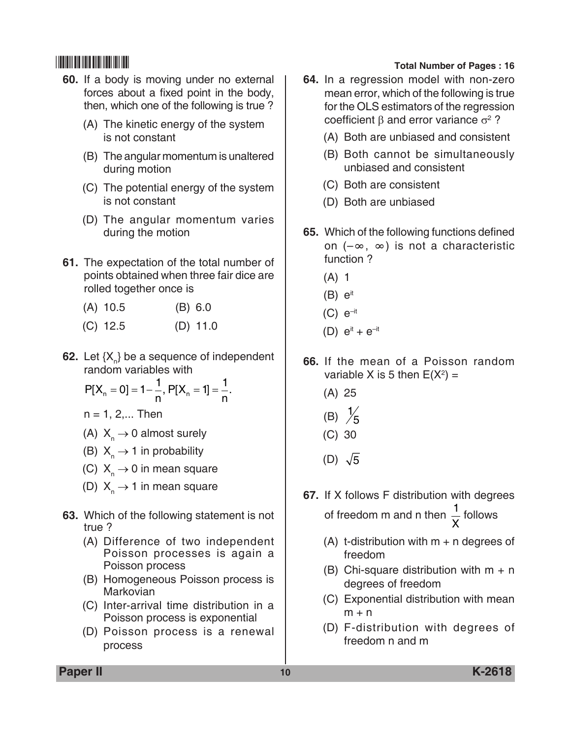- **60.** If a body is moving under no external forces about a fixed point in the body, then, which one of the following is true ?
	- (A) The kinetic energy of the system is not constant
	- (B) The angular momentum is unaltered during motion
	- (C) The potential energy of the system is not constant
	- (D) The angular momentum varies during the motion
- **61.** The expectation of the total number of points obtained when three fair dice are rolled together once is
	- (A) 10.5 (B) 6.0
	- (C) 12.5 (D) 11.0
- **62.** Let  $\{X_{n}\}$  be a sequence of independent random variables with

$$
P[X_n = 0] = 1 - \frac{1}{n}, P[X_n = 1] = \frac{1}{n}.
$$

 $n = 1, 2,...$  Then

- (A)  $X_n \rightarrow 0$  almost surely
- (B)  $X_n \rightarrow 1$  in probability
- (C)  $X_n \rightarrow 0$  in mean square
- (D)  $X_n \rightarrow 1$  in mean square
- **63.** Which of the following statement is not true ?
	- (A) Difference of two independent Poisson processes is again a Poisson process
	- (B) Homogeneous Poisson process is Markovian
	- (C) Inter-arrival time distribution in a Poisson process is exponential
	- (D) Poisson process is a renewal process

# \*K2618\* **Total Number of Pages : 16**

- **64.** In a regression model with non-zero mean error, which of the following is true for the OLS estimators of the regression coefficient β and error variance  $\sigma^2$  ?
	- (A) Both are unbiased and consistent
	- (B) Both cannot be simultaneously unbiased and consistent
	- (C) Both are consistent
	- (D) Both are unbiased
- **65.** Which of the following functions defined on (–∞, ∞) is not a characteristic function ?
	- (A) 1
	- $(B)$   $e^{it}$
	- $(C)$   $e^{-it}$
	- (D)  $e^{it} + e^{-it}$
- **66.** If the mean of a Poisson random variable X is 5 then  $E(X^2) =$ 
	- (A) 25
	- (B)  $\frac{1}{5}$
	- (C) 30
	- (D)  $\sqrt{5}$
- **67.** If X follows F distribution with degrees of freedom m and n then  $\frac{1}{1}$ X follows
	- (A) t-distribution with  $m + n$  degrees of freedom
	- (B) Chi-square distribution with  $m + n$ degrees of freedom
	- (C) Exponential distribution with mean  $m + n$
	- (D) F-distribution with degrees of freedom n and m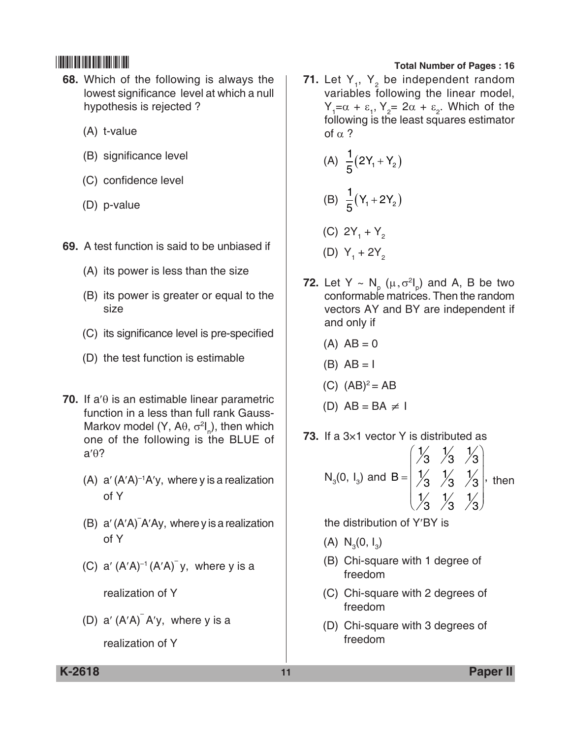- **68.** Which of the following is always the lowest significance level at which a null hypothesis is rejected ?
	- (A) t-value
	- (B) significance level
	- (C) confidence level
	- (D) p-value
- **69.** A test function is said to be unbiased if
	- (A) its power is less than the size
	- (B) its power is greater or equal to the size
	- (C) its significance level is pre-specified
	- (D) the test function is estimable
- **70.** If a′θ is an estimable linear parametric function in a less than full rank Gauss-Markov model (Y, A $\theta$ ,  $\sigma^2I_{\rho}$ ), then which one of the following is the BLUE of a′θ?
	- (A)  $a'(A'A)^{-1}A'y$ , where y is a realization of Y
	- (B) a′ (A′A)– A′Ay, where y is a realization of Y
	- (C)  $a' (A'A)^{-1} (A'A)^{-1} y$ , where y is a

realization of Y

(D)  $a' (A'A)^T A'y$ , where y is a realization of Y

## \*K2618\* **Total Number of Pages : 16**

**71.** Let  $Y_1$ ,  $Y_2$  be independent random variables following the linear model,  $Y_1 = \alpha + \varepsilon_1, Y_2 = 2\alpha + \varepsilon_2$ . Which of the following is the least squares estimator of  $\alpha$  ?

(A) 
$$
\frac{1}{5}(2Y_1 + Y_2)
$$
  
\n(B)  $\frac{1}{5}(Y_1 + 2Y_2)$   
\n(C)  $2Y_1 + Y_2$   
\n(D)  $Y_1 + 2Y_2$ 

- **72.** Let Y ~  $N_p$  ( $\mu, \sigma^2 I_p$ ) and A, B be two conformable matrices. Then the random vectors AY and BY are independent if and only if
	- $(A)$  AB = 0
	- $(B)$  AB = I
	- (C)  $(AB)^2 = AB$

(D) 
$$
AB = BA \neq 1
$$

**73.** If a 3×1 vector Y is distributed as

N<sub>3</sub>(0, I<sub>3</sub>) and B = 
$$
\begin{pmatrix} 1/3 & 1/3 & 1/3 \\ 1/3 & 1/3 & 1/3 \\ 1/3 & 1/3 & 1/3 \end{pmatrix}
$$
, then

the distribution of Y′BY is

- (A)  $N_3(0, 1)$
- (B) Chi-square with 1 degree of freedom
- (C) Chi-square with 2 degrees of freedom
- (D) Chi-square with 3 degrees of freedom

**K-2618 11 Paper II**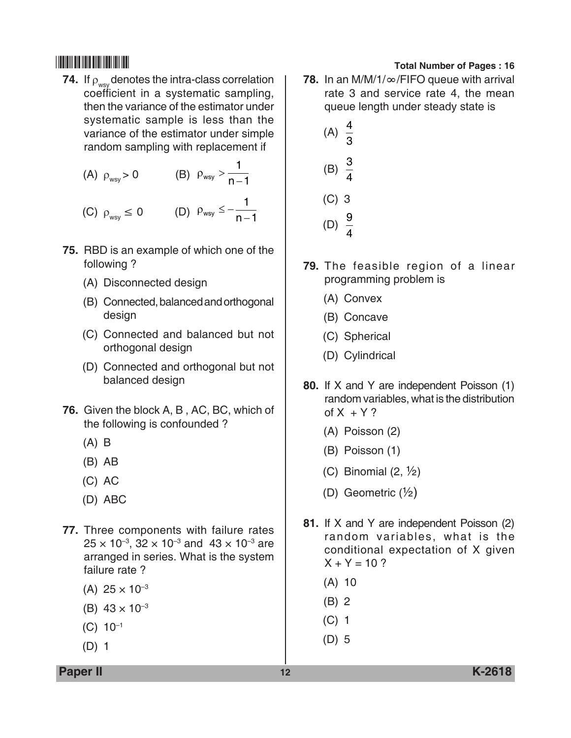- **74.** If  $\rho_{\mathrm{wsy}}$  denotes the intra-class correlation coefficient in a systematic sampling, then the variance of the estimator under systematic sample is less than the variance of the estimator under simple random sampling with replacement if
	- (A)  $\rho_{\text{wsy}} > 0$  (B)  $\rho_{\text{wsy}} > \frac{1}{n-1}$ 1

$$
(C)\ \rho_{\scriptscriptstyle \sf wsy}\leq 0 \qquad \quad (D)\ \rho_{\scriptscriptstyle \sf wsy}\leq -\frac{1}{n-1}
$$

- **75.** RBD is an example of which one of the following ?
	- (A) Disconnected design
	- (B) Connected, balanced and orthogonal design
	- (C) Connected and balanced but not orthogonal design
	- (D) Connected and orthogonal but not balanced design
- **76.** Given the block A, B , AC, BC, which of the following is confounded ?
	- (A) B
	- (B) AB
	- (C) AC
	- (D) ABC
- **77.** Three components with failure rates  $25 \times 10^{-3}$ ,  $32 \times 10^{-3}$  and  $43 \times 10^{-3}$  are arranged in series. What is the system failure rate ?
	- $(A)$  25  $\times$  10<sup>-3</sup>
	- (B)  $43 \times 10^{-3}$
	- $(C) 10^{-1}$
	- (D) 1

- **78.** In an M/M/1/∞/FIFO queue with arrival rate 3 and service rate 4, the mean queue length under steady state is
	- (A)  $\frac{4}{9}$ 3
	- (B)  $\frac{3}{4}$
	- 4
	- (C) 3
	- (D)  $\frac{9}{4}$ 4
- **79.** The feasible region of a linear programming problem is
	- (A) Convex
	- (B) Concave
	- (C) Spherical
	- (D) Cylindrical
- **80.** If X and Y are independent Poisson (1) random variables, what is the distribution of  $X + Y$ ?
	- (A) Poisson (2)
	- (B) Poisson (1)
	- (C) Binomial  $(2, \frac{1}{2})$
	- (D) Geometric  $(\frac{1}{2})$
- **81.** If X and Y are independent Poisson (2) random variables, what is the conditional expectation of X given  $X + Y = 10$  ?
	- (A) 10
	- (B) 2
	- (C) 1
	- (D) 5

**Paper II 12 K-2618**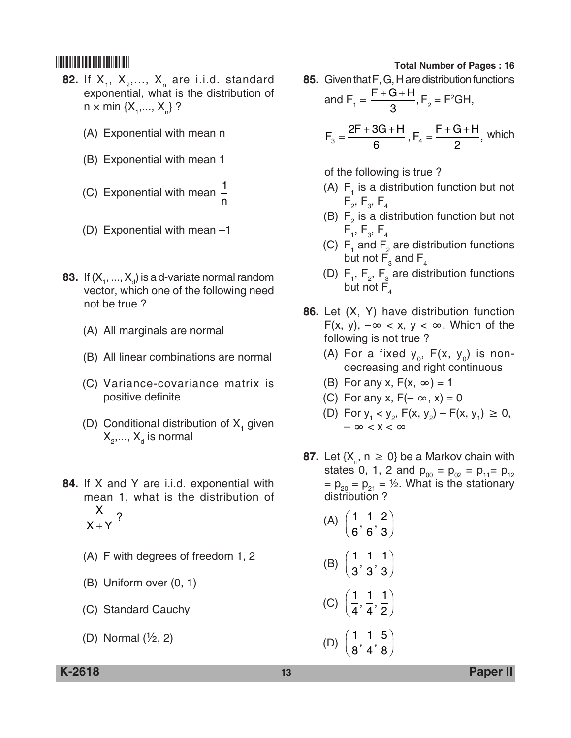- **82.** If  $X_1$ ,  $X_2$ ,...,  $X_n$  are i.i.d. standard exponential, what is the distribution of n  $\times$  min { $X_1$ ,...,  $X_n$ } ?
	- (A) Exponential with mean n
	- (B) Exponential with mean 1
	- (C) Exponential with mean  $\frac{1}{1}$ n
	- (D) Exponential with mean –1
- **83.** If  $(X_1, ..., X_d)$  is a d-variate normal random vector, which one of the following need not be true ?
	- (A) All marginals are normal
	- (B) All linear combinations are normal
	- (C) Variance-covariance matrix is positive definite
	- (D) Conditional distribution of  $X<sub>1</sub>$  given  $\bm{\mathsf{X}}_{_2},...,\bm{\mathsf{X}}_{_\text{d}}$  is normal
- **84.** If X and Y are i.i.d. exponential with mean 1, what is the distribution of X  $X + Y$ ?
	- (A) F with degrees of freedom 1, 2
	- (B) Uniform over (0, 1)
	- (C) Standard Cauchy
	- (D) Normal  $(\frac{1}{2}, 2)$

**85.** Given that F, G, H are distribution functions and  $F_1 = \frac{F+G+H}{3}$  $\frac{3}{3}$ , F<sub>2</sub> = F<sup>2</sup>GH,  $F_3 = \frac{2F + 3G + H}{6}$  $=\frac{2F+3G+H}{6}$ ,  $F_4 = \frac{F+G+H}{2}$ , which

of the following is true ?

- (A)  $F_1$  is a distribution function but not  $\mathsf{F}_{_2}\!,\,\mathsf{F}_{_3}\!,\,\mathsf{F}_{_4}\,$
- (B)  $F_2$  is a distribution function but not  $\mathsf{F}_{_{1}},\,\mathsf{F}_{_{3}},\,\mathsf{F}_{_{4}}$
- (C)  $F_1$  and  $F_2$  are distribution functions but not  $\mathsf{F}_{_3}$  and  $\mathsf{F}_{_4}$
- (D)  $F_1$ ,  $F_2$ ,  $F_3$  are distribution functions but not  $\overline{F}_4$
- **86.** Let (X, Y) have distribution function F(x, y),  $-\infty < x$ , y  $< \infty$ . Which of the following is not true ?
	- (A) For a fixed  $y_0$ , F(x,  $y_0$ ) is nondecreasing and right continuous
	- (B) For any x,  $F(x, \infty) = 1$
	- (C) For any x,  $F(-\infty, x) = 0$
	- (D) For  $y_1 < y_2$ ,  $F(x, y_2) F(x, y_1) \ge 0$ ,  $-\infty < x < \infty$
- **87.** Let  $\{X_n, n \geq 0\}$  be a Markov chain with states 0, 1, 2 and  $p_{00} = p_{02} = p_{11} = p_{12}$  $= p_{20} = p_{21} = \frac{1}{2}$ . What is the stationary distribution ?
	- (A)  $\left( \begin{array}{c} 1 \end{array} \right)$ 6 1 6  $\left(\frac{1}{6},\frac{1}{6},\frac{2}{3}\right)$ (B)  $\left(\frac{1}{6}\right)$ 3 1 3  $\left(\frac{1}{3},\frac{1}{3},\frac{1}{3}\right)$ (C)  $\left(\frac{1}{4}\right)$ 4 1 4  $\left(\frac{1}{4},\frac{1}{4},\frac{1}{2}\right)$ (D)  $\left(\frac{1}{6}\right)$ 8 1 4  $\left(\frac{1}{8},\frac{1}{4},\frac{5}{8}\right)$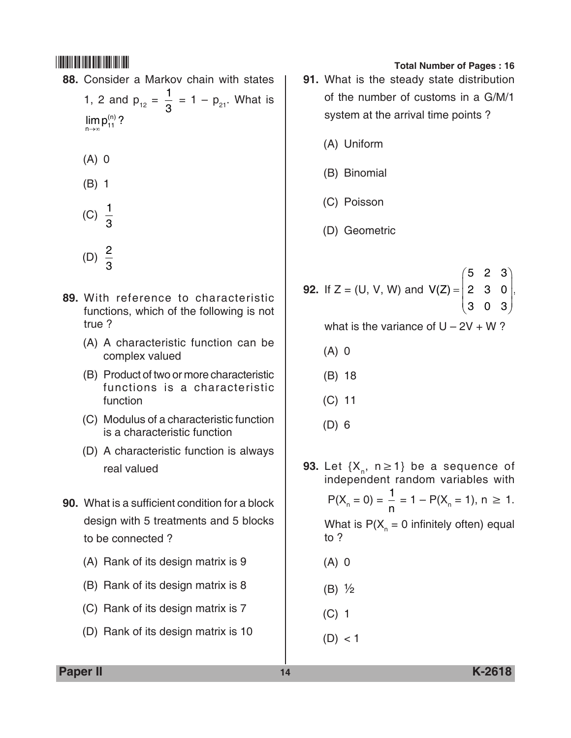- **88.** Consider a Markov chain with states 1, 2 and  $p_{12} = \frac{1}{3} = 1 - p_{21}$ . What is  $\lim_{n\to\infty}$ p $_{11}^{(n)}$  ?
	- (A) 0
	- (B) 1
	- (C)  $\frac{1}{2}$ 3
	- (D)  $\frac{2}{9}$ 3
- **89.** With reference to characteristic functions, which of the following is not true ?
	- (A) A characteristic function can be complex valued
	- (B) Product of two or more characteristic functions is a characteristic function
	- (C) Modulus of a characteristic function is a characteristic function
	- (D) A characteristic function is always real valued
- **90.** What is a sufficient condition for a block design with 5 treatments and 5 blocks to be connected ?
	- (A) Rank of its design matrix is 9
	- (B) Rank of its design matrix is 8
	- (C) Rank of its design matrix is 7
	- (D) Rank of its design matrix is 10

- **91.** What is the steady state distribution of the number of customs in a G/M/1 system at the arrival time points ?
	- (A) Uniform
	- (B) Binomial
	- (C) Poisson
	- (D) Geometric
- **92.** If  $Z = (U, V, W)$  and  $V(Z) = | 2 \cdot 3 \cdot 0 |$ ſ  $\setminus$  $\mathsf{I}$  $\mathsf{I}$  $\overline{\phantom{a}}$  $\setminus$  $\bigg)$  $\overline{\phantom{a}}$  $\overline{\phantom{a}}$  $\overline{\phantom{a}}$ 523 230 303

what is the variance of  $U - 2V + W$ ?

- (A) 0
- (B) 18
- (C) 11
- (D) 6
- **93.** Let  $\{X_n, n \geq 1\}$  be a sequence of independent random variables with  $P(X_n = 0) = \frac{1}{n}$  $\frac{1}{n}$  = 1 – P(X<sub>n</sub> = 1), n  $\geq$  1. What is  $P(X_{n} = 0$  infinitely often) equal to ?
	- (A) 0
	- (B) ½
	- (C) 1
	- $(D) < 1$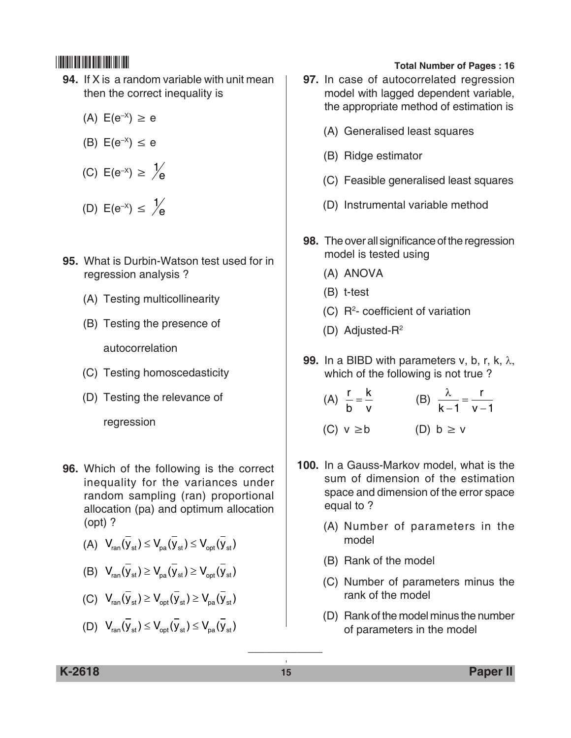- **94.** If X is a random variable with unit mean then the correct inequality is
	- (A)  $E(e^{-X}) \ge e$
	- (B)  $E(e^{-x}) \le e$
	- (C)  $E(e^{-x}) \ge \frac{1}{e}$

(D) 
$$
E(e^{-x}) \leq \frac{1}{e}
$$

- **95.** What is Durbin-Watson test used for in regression analysis ?
	- (A) Testing multicollinearity
	- (B) Testing the presence of

autocorrelation

- (C) Testing homoscedasticity
- (D) Testing the relevance of

regression

- **96.** Which of the following is the correct inequality for the variances under random sampling (ran) proportional allocation (pa) and optimum allocation (opt) ?
	- (A)  $V_{\text{ran}}(\overline{V}_{\text{st}}) \leq V_{\text{na}}(\overline{V}_{\text{st}}) \leq V_{\text{out}}(\overline{V}_{\text{st}})$
	- (B)  $V_{\text{ran}}(\overline{V}_{\text{st}}) \geq V_{\text{na}}(\overline{V}_{\text{st}}) \geq V_{\text{on}}(\overline{V}_{\text{st}})$
	- (C)  $V_{\text{ran}}(\overline{y}_{st}) \geq V_{\text{opt}}(\overline{y}_{st}) \geq V_{\text{na}}(\overline{y}_{st})$
	- (D)  $V_{\text{res}}(\overline{V}_{\text{st}}) \leq V_{\text{est}}(\overline{V}_{\text{st}}) \leq V_{\text{res}}(\overline{V}_{\text{st}})$

## \*K2618\* **Total Number of Pages : 16**

- **97.** In case of autocorrelated regression model with lagged dependent variable, the appropriate method of estimation is
	- (A) Generalised least squares
	- (B) Ridge estimator
	- (C) Feasible generalised least squares
	- (D) Instrumental variable method
- **98.** The over all significance of the regression model is tested using
	- (A) ANOVA
	- (B) t-test
	- $(C)$  R<sup>2</sup>- coefficient of variation
	- (D) Adjusted-R2
- **99.** In a BIBD with parameters v, b, r, k, λ, which of the following is not true ?
	- $(A)$   $\frac{r}{r}$ b  $=\frac{k}{v}$  (B)  $\frac{\lambda}{k-v}$  $\frac{\lambda}{-1} = \frac{r}{v-1}$
	- (C)  $v \ge b$  (D)  $b \ge v$
- **100.** In a Gauss-Markov model, what is the sum of dimension of the estimation space and dimension of the error space equal to ?
	- (A) Number of parameters in the model
	- (B) Rank of the model
	- (C) Number of parameters minus the rank of the model
	- (D) Rank of the model minus the number of parameters in the model

\_\_\_\_\_\_\_\_\_\_\_\_